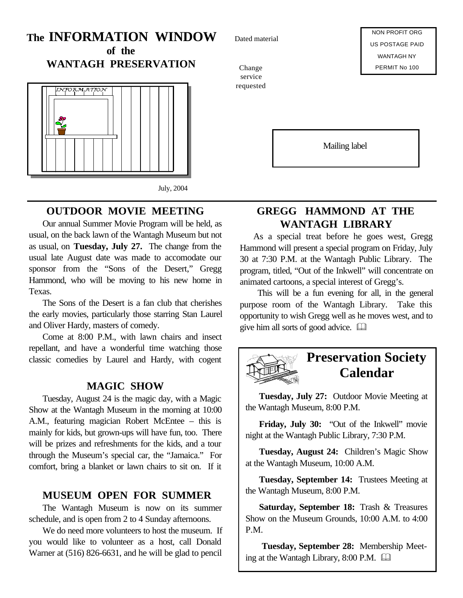## **The INFORMATION WINDOW of the**

**WANTAGH PRESERVATION**



#### **OUTDOOR MOVIE MEETING**

Our annual Summer Movie Program will be held, as usual, on the back lawn of the Wantagh Museum but not as usual, on **Tuesday, July 27.** The change from the usual late August date was made to accomodate our sponsor from the "Sons of the Desert," Gregg Hammond, who will be moving to his new home in Texas.

The Sons of the Desert is a fan club that cherishes the early movies, particularly those starring Stan Laurel and Oliver Hardy, masters of comedy.

Come at 8:00 P.M., with lawn chairs and insect repellant, and have a wonderful time watching those classic comedies by Laurel and Hardy, with cogent

#### **MAGIC SHOW**

Tuesday, August 24 is the magic day, with a Magic Show at the Wantagh Museum in the morning at 10:00 A.M., featuring magician Robert McEntee – this is mainly for kids, but grown-ups will have fun, too. There will be prizes and refreshments for the kids, and a tour through the Museum's special car, the "Jamaica." For comfort, bring a blanket or lawn chairs to sit on. If it

#### **MUSEUM OPEN FOR SUMMER**

The Wantagh Museum is now on its summer schedule, and is open from 2 to 4 Sunday afternoons.

We do need more volunteers to host the museum. If you would like to volunteer as a host, call Donald Warner at (516) 826-6631, and he will be glad to pencil

Dated material

Change service requested

NON PROFIT ORG US POSTAGE PAID WANTAGH NY PERMIT No 100

Mailing label

### **GREGG HAMMOND AT THE WANTAGH LIBRARY**

As a special treat before he goes west, Gregg Hammond will present a special program on Friday, July 30 at 7:30 P.M. at the Wantagh Public Library. The program, titled, "Out of the Inkwell" will concentrate on animated cartoons, a special interest of Gregg's.

 This will be a fun evening for all, in the general purpose room of the Wantagh Library. Take this opportunity to wish Gregg well as he moves west, and to give him all sorts of good advice.  $\Box$ 



# **Preservation Society Calendar**

**Tuesday, July 27:** Outdoor Movie Meeting at the Wantagh Museum, 8:00 P.M.

**Friday, July 30:** "Out of the Inkwell" movie night at the Wantagh Public Library, 7:30 P.M.

**Tuesday, August 24:** Children's Magic Show at the Wantagh Museum, 10:00 A.M.

**Tuesday, September 14:** Trustees Meeting at the Wantagh Museum, 8:00 P.M.

**Saturday, September 18:** Trash & Treasures Show on the Museum Grounds, 10:00 A.M. to 4:00 P.M.

 **Tuesday, September 28:** Membership Meeting at the Wantagh Library,  $8:00$  P.M.  $\Box$